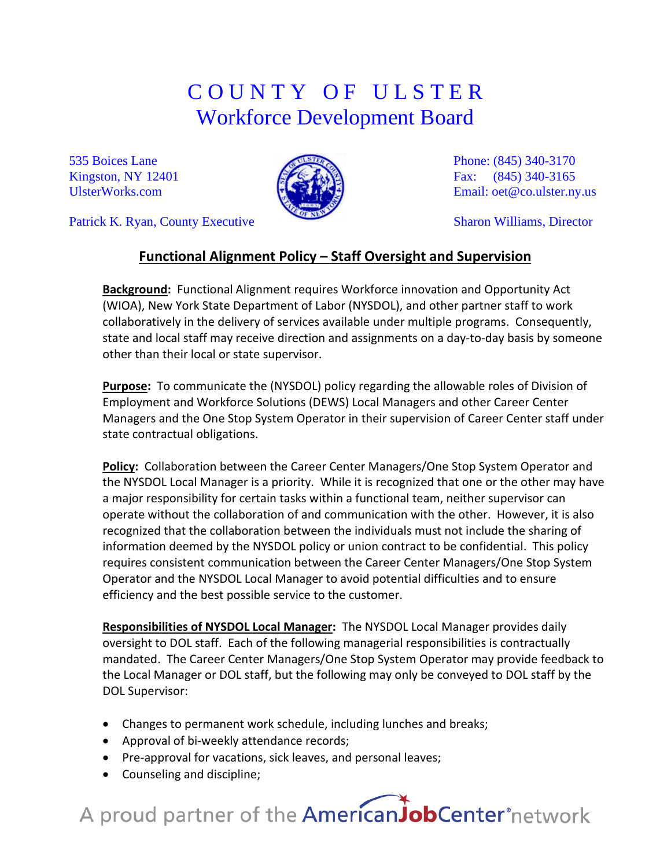## C O U N T Y O F U L S T E R Workforce Development Board

535 Boices Lane Kingston, NY 12401 [UlsterWorks.com](http://www.ulsterworks.com/)

Patrick K. Ryan, County Executive



Phone: (845) 340-3170 Fax: (845) 340-3165 Email: [oet@co.ulster.ny.us](mailto:oet@co.ulster.ny.us)

Sharon Williams, Director

### **Functional Alignment Policy – Staff Oversight and Supervision**

**Background:** Functional Alignment requires Workforce innovation and Opportunity Act (WIOA), New York State Department of Labor (NYSDOL), and other partner staff to work collaboratively in the delivery of services available under multiple programs. Consequently, state and local staff may receive direction and assignments on a day-to-day basis by someone other than their local or state supervisor.

**Purpose:** To communicate the (NYSDOL) policy regarding the allowable roles of Division of Employment and Workforce Solutions (DEWS) Local Managers and other Career Center Managers and the One Stop System Operator in their supervision of Career Center staff under state contractual obligations.

**Policy:** Collaboration between the Career Center Managers/One Stop System Operator and the NYSDOL Local Manager is a priority. While it is recognized that one or the other may have a major responsibility for certain tasks within a functional team, neither supervisor can operate without the collaboration of and communication with the other. However, it is also recognized that the collaboration between the individuals must not include the sharing of information deemed by the NYSDOL policy or union contract to be confidential. This policy requires consistent communication between the Career Center Managers/One Stop System Operator and the NYSDOL Local Manager to avoid potential difficulties and to ensure efficiency and the best possible service to the customer.

**Responsibilities of NYSDOL Local Manager:** The NYSDOL Local Manager provides daily oversight to DOL staff. Each of the following managerial responsibilities is contractually mandated. The Career Center Managers/One Stop System Operator may provide feedback to the Local Manager or DOL staff, but the following may only be conveyed to DOL staff by the DOL Supervisor:

- Changes to permanent work schedule, including lunches and breaks;
- Approval of bi-weekly attendance records;
- Pre-approval for vacations, sick leaves, and personal leaves;
- Counseling and discipline;

# A proud partner of the AmericanJobCenter°network